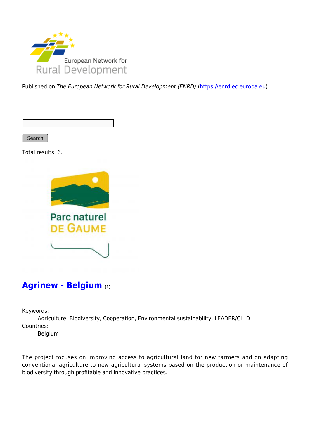

Published on The European Network for Rural Development (ENRD) [\(https://enrd.ec.europa.eu](https://enrd.ec.europa.eu))

Search

Total results: 6.



## **[Agrinew - Belgium](https://enrd.ec.europa.eu/projects-practice/agrinew-belgium_en) [1]**

Keywords:

Agriculture, Biodiversity, Cooperation, Environmental sustainability, LEADER/CLLD Countries:

Belgium

The project focuses on improving access to agricultural land for new farmers and on adapting conventional agriculture to new agricultural systems based on the production or maintenance of biodiversity through profitable and innovative practices.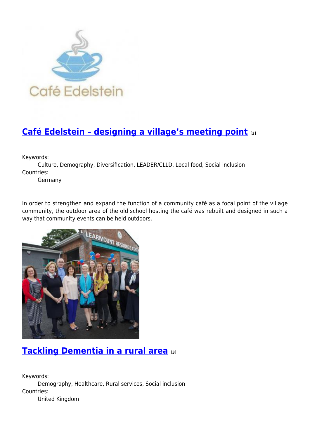

# **[Café Edelstein – designing a village's meeting point](https://enrd.ec.europa.eu/projects-practice/cafe-edelstein-designing-villages-meeting-point_en) [2]**

Keywords:

Culture, Demography, Diversification, LEADER/CLLD, Local food, Social inclusion Countries:

Germany

In order to strengthen and expand the function of a community café as a focal point of the village community, the outdoor area of the old school hosting the café was rebuilt and designed in such a way that community events can be held outdoors.



## **[Tackling Dementia in a rural area](https://enrd.ec.europa.eu/projects-practice/tackling-dementia-rural-area_en) [3]**

Keywords: Demography, Healthcare, Rural services, Social inclusion Countries: United Kingdom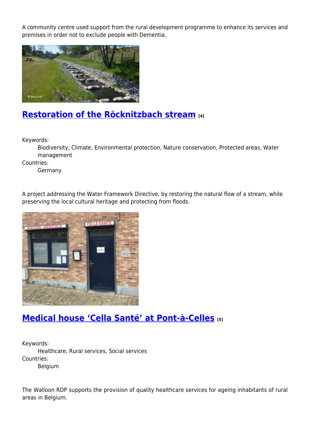A community centre used support from the rural development programme to enhance its services and premises in order not to exclude people with Dementia.



## **[Restoration of the Röcknitzbach stream](https://enrd.ec.europa.eu/projects-practice/restoration-rocknitzbach-stream_en) [4]**

Keywords:

Biodiversity, Climate, Environmental protection, Nature conservation, Protected areas, Water management

Countries:

Germany

A project addressing the Water Framework Directive, by restoring the natural flow of a stream, while preserving the local cultural heritage and protecting from floods.



## **[Medical house 'Cella Santé' at Pont-à-Celles](https://enrd.ec.europa.eu/projects-practice/medical-house-cella-sante-pont-celles_en) [5]**

Keywords: Healthcare, Rural services, Social services Countries: Belgium

The Walloon RDP supports the provision of quality healthcare services for ageing inhabitants of rural areas in Belgium.